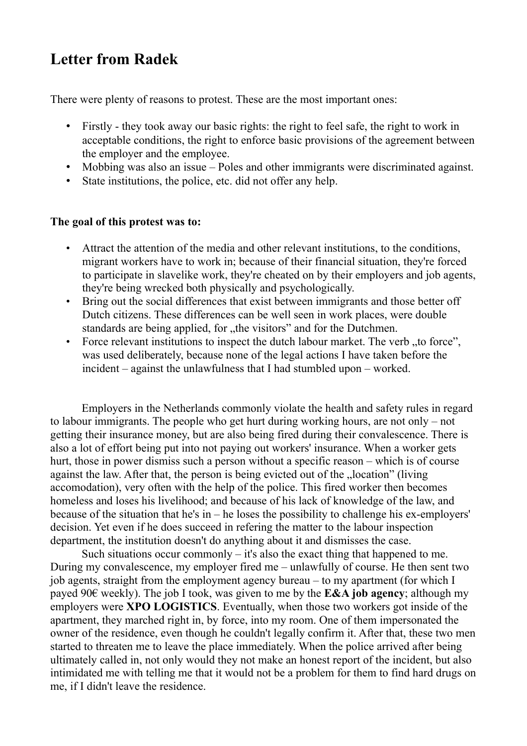## **Letter from Radek**

There were plenty of reasons to protest. These are the most important ones:

- Firstly they took away our basic rights: the right to feel safe, the right to work in acceptable conditions, the right to enforce basic provisions of the agreement between the employer and the employee.
- Mobbing was also an issue Poles and other immigrants were discriminated against.
- State institutions, the police, etc. did not offer any help.

## **The goal of this protest was to:**

- Attract the attention of the media and other relevant institutions, to the conditions, migrant workers have to work in; because of their financial situation, they're forced to participate in slavelike work, they're cheated on by their employers and job agents, they're being wrecked both physically and psychologically.
- Bring out the social differences that exist between immigrants and those better off Dutch citizens. These differences can be well seen in work places, were double standards are being applied, for "the visitors" and for the Dutchmen.
- Force relevant institutions to inspect the dutch labour market. The verb , to force", was used deliberately, because none of the legal actions I have taken before the incident – against the unlawfulness that I had stumbled upon – worked.

Employers in the Netherlands commonly violate the health and safety rules in regard to labour immigrants. The people who get hurt during working hours, are not only – not getting their insurance money, but are also being fired during their convalescence. There is also a lot of effort being put into not paying out workers' insurance. When a worker gets hurt, those in power dismiss such a person without a specific reason – which is of course against the law. After that, the person is being evicted out of the "location" (living accomodation), very often with the help of the police. This fired worker then becomes homeless and loses his livelihood; and because of his lack of knowledge of the law, and because of the situation that he's in – he loses the possibility to challenge his ex-employers' decision. Yet even if he does succeed in refering the matter to the labour inspection department, the institution doesn't do anything about it and dismisses the case.

Such situations occur commonly  $-$  it's also the exact thing that happened to me. During my convalescence, my employer fired me – unlawfully of course. He then sent two job agents, straight from the employment agency bureau – to my apartment (for which I payed 90€ weekly). The job I took, was given to me by the **E&A job agency**; although my employers were **XPO LOGISTICS**. Eventually, when those two workers got inside of the apartment, they marched right in, by force, into my room. One of them impersonated the owner of the residence, even though he couldn't legally confirm it. After that, these two men started to threaten me to leave the place immediately. When the police arrived after being ultimately called in, not only would they not make an honest report of the incident, but also intimidated me with telling me that it would not be a problem for them to find hard drugs on me, if I didn't leave the residence.